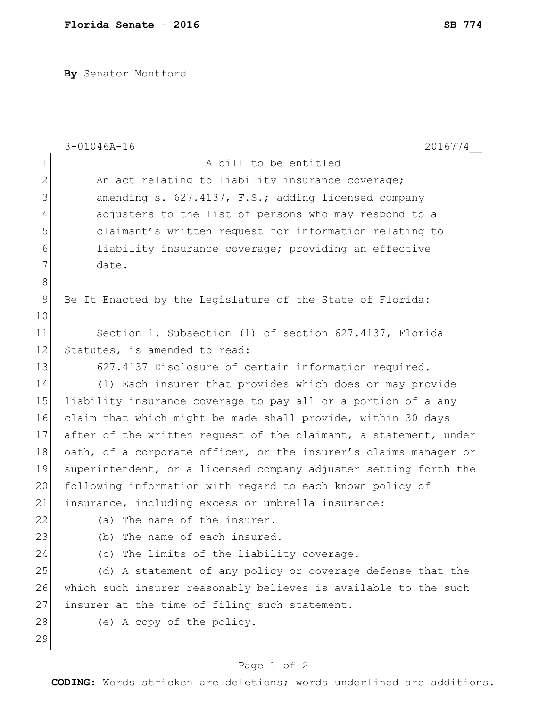**By** Senator Montford

|              | $3 - 01046A - 16$<br>2016774                                     |
|--------------|------------------------------------------------------------------|
| $\mathbf{1}$ | A bill to be entitled                                            |
| $\mathbf{2}$ | An act relating to liability insurance coverage;                 |
| 3            | amending s. 627.4137, F.S.; adding licensed company              |
| 4            | adjusters to the list of persons who may respond to a            |
| 5            | claimant's written request for information relating to           |
| 6            | liability insurance coverage; providing an effective             |
| 7            | date.                                                            |
| $\,8\,$      |                                                                  |
| 9            | Be It Enacted by the Legislature of the State of Florida:        |
| 10           |                                                                  |
| 11           | Section 1. Subsection (1) of section 627.4137, Florida           |
| 12           | Statutes, is amended to read:                                    |
| 13           | 627.4137 Disclosure of certain information required.-            |
| 14           | (1) Each insurer that provides which does or may provide         |
| 15           | liability insurance coverage to pay all or a portion of a any    |
| 16           | claim that which might be made shall provide, within 30 days     |
| 17           | after of the written request of the claimant, a statement, under |
| 18           | oath, of a corporate officer, or the insurer's claims manager or |
| 19           | superintendent, or a licensed company adjuster setting forth the |
| 20           | following information with regard to each known policy of        |
| 21           | insurance, including excess or umbrella insurance:               |
| 22           | (a) The name of the insurer.                                     |
| 23           | The name of each insured.<br>(b)                                 |
| 24           | (c) The limits of the liability coverage.                        |
| 25           | (d) A statement of any policy or coverage defense that the       |
| 26           | which such insurer reasonably believes is available to the such  |
| 27           | insurer at the time of filing such statement.                    |
| 28           | (e) A copy of the policy.                                        |
| 29           |                                                                  |
|              |                                                                  |

## Page 1 of 2

**CODING**: Words stricken are deletions; words underlined are additions.